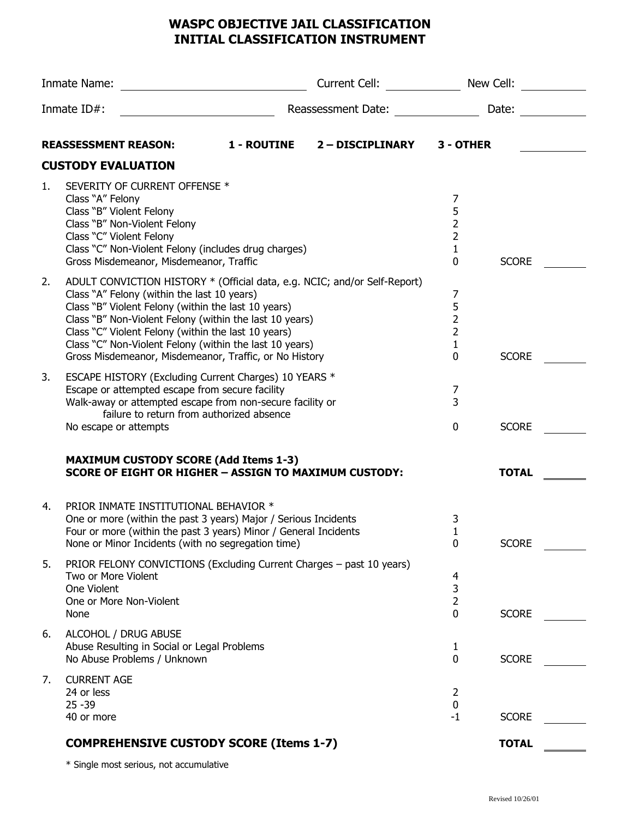## **WASPC OBJECTIVE JAIL CLASSIFICATION INITIAL CLASSIFICATION INSTRUMENT**

| Inmate Name:   |                                                                                                                                                                                                                                                                                                                                                                                                                        | Current Cell: <b>Example 2019</b> |                  | New Cell:                                                       |              |  |
|----------------|------------------------------------------------------------------------------------------------------------------------------------------------------------------------------------------------------------------------------------------------------------------------------------------------------------------------------------------------------------------------------------------------------------------------|-----------------------------------|------------------|-----------------------------------------------------------------|--------------|--|
| Inmate $ID#$ : |                                                                                                                                                                                                                                                                                                                                                                                                                        | Reassessment Date:                | Date:            |                                                                 |              |  |
|                | <b>REASSESSMENT REASON:</b>                                                                                                                                                                                                                                                                                                                                                                                            | <b>1 - ROUTINE</b>                | 2 - DISCIPLINARY | 3 - OTHER                                                       |              |  |
|                | <b>CUSTODY EVALUATION</b>                                                                                                                                                                                                                                                                                                                                                                                              |                                   |                  |                                                                 |              |  |
| 1.             | SEVERITY OF CURRENT OFFENSE *<br>Class "A" Felony<br>Class "B" Violent Felony<br>Class "B" Non-Violent Felony<br>Class "C" Violent Felony<br>Class "C" Non-Violent Felony (includes drug charges)<br>Gross Misdemeanor, Misdemeanor, Traffic                                                                                                                                                                           |                                   |                  | 7<br>5<br>$\mathbf 2$<br>$\overline{2}$<br>1<br>0               | <b>SCORE</b> |  |
| 2.             | ADULT CONVICTION HISTORY * (Official data, e.g. NCIC; and/or Self-Report)<br>Class "A" Felony (within the last 10 years)<br>Class "B" Violent Felony (within the last 10 years)<br>Class "B" Non-Violent Felony (within the last 10 years)<br>Class "C" Violent Felony (within the last 10 years)<br>Class "C" Non-Violent Felony (within the last 10 years)<br>Gross Misdemeanor, Misdemeanor, Traffic, or No History |                                   |                  | 7<br>5<br>$\overline{2}$<br>$\overline{2}$<br>$\mathbf{1}$<br>0 | <b>SCORE</b> |  |
| 3.             | ESCAPE HISTORY (Excluding Current Charges) 10 YEARS *<br>Escape or attempted escape from secure facility<br>Walk-away or attempted escape from non-secure facility or<br>failure to return from authorized absence<br>No escape or attempts                                                                                                                                                                            |                                   |                  | 7<br>$\overline{3}$<br>$\mathbf 0$                              | <b>SCORE</b> |  |
|                | <b>MAXIMUM CUSTODY SCORE (Add Items 1-3)</b><br><b>SCORE OF EIGHT OR HIGHER - ASSIGN TO MAXIMUM CUSTODY:</b>                                                                                                                                                                                                                                                                                                           |                                   |                  |                                                                 | <b>TOTAL</b> |  |
| 4.             | PRIOR INMATE INSTITUTIONAL BEHAVIOR *<br>One or more (within the past 3 years) Major / Serious Incidents<br>Four or more (within the past 3 years) Minor / General Incidents<br>None or Minor Incidents (with no segregation time)                                                                                                                                                                                     |                                   |                  | 3<br>$\mathbf 0$                                                | <b>SCORE</b> |  |
| 5.             | PRIOR FELONY CONVICTIONS (Excluding Current Charges - past 10 years)<br>Two or More Violent<br>One Violent<br>One or More Non-Violent<br>None                                                                                                                                                                                                                                                                          |                                   |                  | 4<br>3<br>2<br>0                                                | <b>SCORE</b> |  |
| 6.             | ALCOHOL / DRUG ABUSE<br>Abuse Resulting in Social or Legal Problems<br>No Abuse Problems / Unknown                                                                                                                                                                                                                                                                                                                     |                                   |                  | 1<br>$\overline{0}$                                             | <b>SCORE</b> |  |
| 7.             | <b>CURRENT AGE</b><br>24 or less<br>$25 - 39$<br>40 or more                                                                                                                                                                                                                                                                                                                                                            |                                   |                  | 2<br>0<br>$-1$                                                  | <b>SCORE</b> |  |
|                | <b>COMPREHENSIVE CUSTODY SCORE (Items 1-7)</b>                                                                                                                                                                                                                                                                                                                                                                         |                                   |                  |                                                                 | <b>TOTAL</b> |  |

\* Single most serious, not accumulative